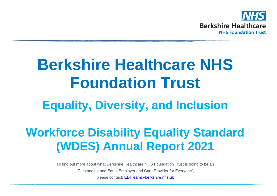

# **Berkshire Healthcare NHS Foundation Trust**

# **Equality, Diversity, and Inclusion**

# **Workforce Disability Equality Standard (WDES) Annual Report 2021**

To find out more about what Berkshire Healthcare NHS Foundation Trust is doing to be an 'Outstanding and Equal Employer and Care Provider for Everyone', please contact: [EDITeam@berkshire.nhs.uk](mailto:EDITeam@berkshire.nhs.uk)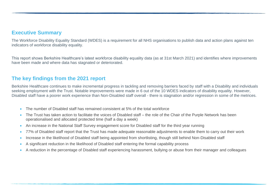### **Executive Summary**

The Workforce Disability Equality Standard (WDES) is a requirement for all NHS organisations to publish data and action plans against ten indicators of workforce disability equality.

This report shows Berkshire Healthcare's latest workforce disability equality data (as at 31st March 2021) and identifies where improvements have been made and where data has stagnated or deteriorated.

### **The key findings from the 2021 report**

Berkshire Healthcare continues to make incremental progress in tackling and removing barriers faced by staff with a Disability and individuals seeking employment with the Trust. Notable improvements were made in 6 out of the 10 WDES indicators of disability equality. However, Disabled staff have a poorer work experience than Non-Disabled staff overall - there is stagnation and/or regression in some of the metrices.

- The number of Disabled staff has remained consistent at 5% of the total workforce
- The Trust has taken action to facilitate the voices of Disabled staff the role of the Chair of the Purple Network has been operationalised and allocated protected time (half a day a week)
- An increase in the National Staff Survey engagement score for Disabled staff for the third year running
- 77% of Disabled staff report that the Trust has made adequate reasonable adjustments to enable them to carry out their work
- Increase in the likelihood of Disabled staff being appointed from shortlisting, though still behind Non-Disabled staff
- A significant reduction in the likelihood of Disabled staff entering the formal capability process
- A reduction in the percentage of Disabled staff experiencing harassment, bullying or abuse from their manager and colleagues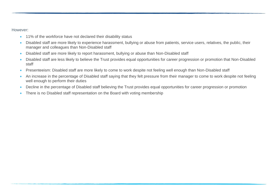However:

- 11% of the workforce have not declared their disability status
- Disabled staff are more likely to experience harassment, bullying or abuse from patients, service users, relatives, the public, their manager and colleagues than Non-Disabled staff
- Disabled staff are more likely to report harassment, bullying or abuse than Non-Disabled staff
- Disabled staff are less likely to believe the Trust provides equal opportunities for career progression or promotion that Non-Disabled staff
- Presenteeism: Disabled staff are more likely to come to work despite not feeling well enough than Non-Disabled staff
- An increase in the percentage of Disabled staff saying that they felt pressure from their manager to come to work despite not feeling well enough to perform their duties
- Decline in the percentage of Disabled staff believing the Trust provides equal opportunities for career progression or promotion
- There is no Disabled staff representation on the Board with voting membership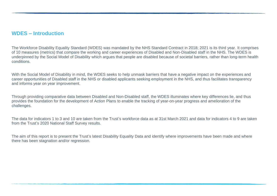#### **WDES – Introduction**

The Workforce Disability Equality Standard (WDES) was mandated by the NHS Standard Contract in 2018; 2021 is its third year. It comprises of 10 measures (metrics) that compare the working and career experiences of Disabled and Non-Disabled staff in the NHS. The WDES is underpinned by the Social Model of Disability which argues that people are disabled because of societal barriers, rather than long-term health conditions.

With the Social Model of Disability in mind, the WDES seeks to help unmask barriers that have a negative impact on the experiences and career opportunities of Disabled staff in the NHS or disabled applicants seeking employment in the NHS, and thus facilitates transparency and informs year on year improvement.

Through providing comparative data between Disabled and Non-Disabled staff, the WDES illuminates where key differences lie, and thus provides the foundation for the development of Action Plans to enable the tracking of year-on-year progress and amelioration of the challenges.

The data for indicators 1 to 3 and 10 are taken from the Trust's workforce data as at 31st March 2021 and data for indicators 4 to 9 are taken from the Trust's 2020 National Staff Survey results.

The aim of this report is to present the Trust's latest Disability Equality Data and identify where improvements have been made and where there has been stagnation and/or regression.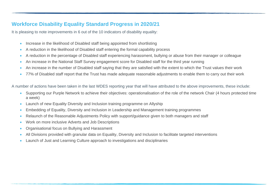# **Workforce Disability Equality Standard Progress in 2020/21**

It is pleasing to note improvements in 6 out of the 10 indicators of disability equality:

- Increase in the likelihood of Disabled staff being appointed from shortlisting
- A reduction in the likelihood of Disabled staff entering the formal capability process
- A reduction in the percentage of Disabled staff experiencing harassment, bullying or abuse from their manager or colleague
- An increase in the National Staff Survey engagement score for Disabled staff for the third year running
- An increase in the number of Disabled staff saying that they are satisfied with the extent to which the Trust values their work
- 77% of Disabled staff report that the Trust has made adequate reasonable adjustments to enable them to carry out their work

A number of actions have been taken in the last WDES reporting year that will have attributed to the above improvements, these include:

- Supporting our Purple Network to achieve their objectives: operationalisation of the role of the network Chair (4 hours protected time a week)
- Launch of new Equality Diversity and Inclusion training programme on Allyship
- Embedding of Equality, Diversity and Inclusion in Leadership and Management training programmes
- Relaunch of the Reasonable Adjustments Policy with support/guidance given to both managers and staff
- Work on more inclusive Adverts and Job Descriptions
- Organisational focus on Bullying and Harassment
- All Divisions provided with granular data on Equality, Diversity and Inclusion to facilitate targeted interventions
- Launch of Just and Learning Culture approach to investigations and disciplinaries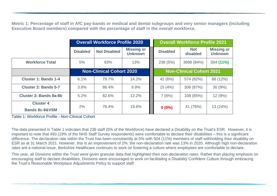**Metric 1: Percentage of staff in AfC pay-bands or medical and dental subgroups and very senior managers (including Executive Board members) compared with the percentage of staff in the overall workforce.**

|                                               | <b>Overall Workforce Profile 2020</b> |                                 |                                     |  | <b>Overall Workforce Profile 2021</b> |                                 |                                     |  |
|-----------------------------------------------|---------------------------------------|---------------------------------|-------------------------------------|--|---------------------------------------|---------------------------------|-------------------------------------|--|
|                                               | <b>Disabled</b>                       | <b>Not Disabled</b>             | <b>Missing or</b><br><b>Unknown</b> |  | <b>Disabled</b>                       | <b>Not</b><br>disabled          | <b>Missing or</b><br><b>Unknown</b> |  |
| <b>Workforce Total</b>                        | 5%                                    | 83%                             | 13%                                 |  | 236 (5%)                              | 3698 (84%)                      | 504 (11%)                           |  |
|                                               |                                       | <b>Non-Clinical Cohort 2020</b> |                                     |  |                                       | <b>Non-Clinical Cohort 2021</b> |                                     |  |
| <b>Cluster 1: Bands 1-4</b>                   | 6.1%                                  | 79.7%                           | 14.2%                               |  | 42 (6%)                               | 574 (82%)                       | 86 (12%)                            |  |
| <b>Cluster 2: Bands 5-7</b>                   | 3.8%                                  | 86.4%                           | 9.9%                                |  | 15(4%)                                | 306 (87%)                       | 30(9%)                              |  |
| <b>Cluster 3: Bands 8a-8b</b>                 | 5.2%                                  | 82.6%                           | 12.2%                               |  | 7(6%)                                 | 108 (85%)                       | 12 (9%)                             |  |
| <b>Cluster 4</b><br><b>Bands 8c-9&amp;VSM</b> | 2%                                    | 78.4%                           | 19.6%                               |  | $0(0\%)$                              | 41 (76%)                        | 13 (24%)                            |  |

Table 1: Workforce Profile - Non-Clinical Cohort

The data presented in Table 1 indicates that 236 staff (5% of the Workforce) have declared a Disability on the Trust's ESR. However, it is important to note that 493 (19% of the NHS Staff Survey respondents) were comfortable to declare their disabilities – this is a significant difference. The declaration rate within the Trust has been consistently at 5% with 504 (11%) members of staff withholding their disability on ESR as at 31 March 2021. However, this is an improvement of 2%: the non-declaration rate was 13% in 2020. Although high non-declaration rates are a national issue, Berkshire Healthcare continues to work on fostering a culture where employees are comfortable to declare.

This year, all Divisions within the Trust were given granular data that highlighted their non-declaration rates. Rather than placing emphasis on encouraging staff to declare disabilities, Divisions were encouraged to work on facilitating a Disability Confident Culture through embracing the Trust's Reasonable Workplace Adjustments Policy to support staff.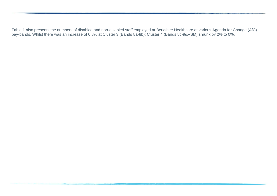Table 1 also presents the numbers of disabled and non-disabled staff employed at Berkshire Healthcare at various Agenda for Change (AfC) pay-bands. Whilst there was an increase of 0.8% at Cluster 3 (Bands 8a-8b); Cluster 4 (Bands 8c-9&VSM) shrunk by 2% to 0%.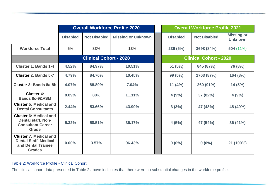|                                                                                                        |                 |                               | <b>Overall Workforce Profile 2020</b> |                 | <b>Overall Workforce Profile 2021</b> |                                     |
|--------------------------------------------------------------------------------------------------------|-----------------|-------------------------------|---------------------------------------|-----------------|---------------------------------------|-------------------------------------|
|                                                                                                        | <b>Disabled</b> | <b>Not Disabled</b>           | <b>Missing or Unknown</b>             | <b>Disabled</b> | <b>Not Disabled</b>                   | <b>Missing or</b><br><b>Unknown</b> |
| <b>Workforce Total</b>                                                                                 | 5%              | 83%                           | 13%                                   | 236(5%)         | 3698 (84%)                            | 504 (11%)                           |
|                                                                                                        |                 | <b>Clinical Cohort - 2020</b> |                                       |                 | <b>Clinical Cohort - 2020</b>         |                                     |
| <b>Cluster 1: Bands 1-4</b>                                                                            | 4.52%           | 84.97%                        | 10.51%                                | 51(5%)          | 845 (87%)                             | 76 (8%)                             |
| <b>Cluster 2: Bands 5-7</b>                                                                            | 4.79%           | 84.76%                        | 10.45%                                | 99 (5%)         | 1703 (87%)                            | 164 (8%)                            |
| Cluster 3: Bands 8a-8b                                                                                 | 4.07%           | 88.89%                        | 7.04%                                 | 11 $(4%)$       | 260 (91%)                             | 14(5%)                              |
| <b>Cluster 4:</b><br><b>Bands 8c-9&amp;VSM</b>                                                         | 8.89%           | 80%                           | 11.11%                                | 4(9%)           | 37 (82%)                              | 4(9%)                               |
| <b>Cluster 5: Medical and</b><br><b>Dental Consultants</b>                                             | 2.44%           | 53.66%                        | 43.90%                                | 3(3%)           | 47 (48%)                              | 48 (49%)                            |
| <b>Cluster 6: Medical and</b><br><b>Dental staff, Non-</b><br><b>Consultant Career</b><br><b>Grade</b> | 5.32%           | 58.51%                        | 36.17%                                | 4(5%)           | 47 (54%)                              | 36 (41%)                            |
| <b>Cluster 7: Medical and</b><br><b>Dental Staff, Medical</b><br>and Dental Trainee<br><b>Grades</b>   | 0.00%           | 3.57%                         | 96.43%                                | $0(0\%)$        | $0(0\%)$                              | 21 (100%)                           |

#### Table 2: Workforce Profile - Clinical Cohort

The clinical cohort data presented in Table 2 above indicates that there were no substantial changes in the workforce profile.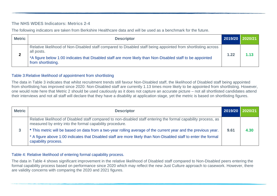#### **The NHS WDES Indicators: Metrics 2-4**

The following indicators are taken from Berkshire Healthcare data and will be used as a benchmark for the future.

| <b>Metric</b> | <b>Descriptor</b>                                                                                                                                                                                                                                               | 2019/20 2020/21 |      |
|---------------|-----------------------------------------------------------------------------------------------------------------------------------------------------------------------------------------------------------------------------------------------------------------|-----------------|------|
| ▴             | Relative likelihood of Non-Disabled staff compared to Disabled staff being appointed from shortlisting across<br>all posts.<br>*A figure below 1:00 indicates that Disabled staff are more likely than Non-Disabled staff to be appointed<br>from shortlisting. | 1.22            | 1.13 |

#### Table 3:Relative likelihood of appointment from shortlisting

The data in Table 3 indicates that whilst recruitment trends still favour Non-Disabled staff, the likelihood of Disabled staff being appointed from shortlisting has improved since 2020: Non-Disabled staff are currently 1.13 times more likely to be appointed from shortlisting. However, one would note here that Metric 2 should be used cautiously as it does not capture an accurate picture – not all shortlisted candidates attend their interviews and not all staff will declare that they have a disability at application stage, yet the metric is based on shortlisting figures.

| <b>Metric</b> | <b>Descriptor</b>                                                                                                                                                                                                                                        | 2019/20 | 2020/21 |
|---------------|----------------------------------------------------------------------------------------------------------------------------------------------------------------------------------------------------------------------------------------------------------|---------|---------|
|               | Relative likelihood of Disabled staff compared to non-disabled staff entering the formal capability process, as<br>measured by entry into the formal capability procedure.                                                                               |         |         |
| 3             | * This metric will be based on data from a two-year rolling average of the current year and the previous year.<br>* A figure above 1:00 indicates that Disabled staff are more likely than Non-Disabled staff to enter the formal<br>capability process. | 9.61    | 4.30    |

#### Table 4: Relative likelihood of entering formal capability process.

The data in Table 4 shows significant improvement in the relative likelihood of Disabled staff compared to Non-Disabled peers entering the formal capability process based on performance since 2020 which may reflect the new Just Culture approach to casework. However, there are validity concerns with comparing the 2020 and 2021 figures.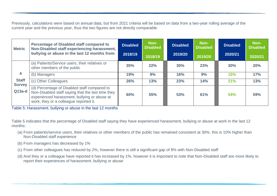Previously, calculations were based on annual data, but from 2021 criteria will be based on data from a two-year rolling average of the current year and the previous year, thus the two figures are not directly comparable.

| <b>Metric</b>                 | <b>Percentage of Disabled staff compared to</b><br>Non-Disabled staff experiencing harassment,                                                                                              | <b>Disabled</b> | Non-<br><b>Disabled</b> | <b>Disabled</b> | Non-<br><b>Disabled</b> | <b>Disabled</b> | Non-<br><b>Disabled</b> |
|-------------------------------|---------------------------------------------------------------------------------------------------------------------------------------------------------------------------------------------|-----------------|-------------------------|-----------------|-------------------------|-----------------|-------------------------|
|                               | bullying or abuse in the last 12 months from:                                                                                                                                               | 2018/19         | 2018/19                 | 2019/20         | 2019/20                 | 2020/21         | 2020/21                 |
|                               | (a) Patients/Service users, their relatives or<br>other members of the public                                                                                                               | 35%             | 22%                     | 30%             | 23%                     | 30%             | 20%                     |
| 4                             | (b) Managers                                                                                                                                                                                | 19%             | 9%                      | 16%             | 9%                      | <b>15%</b>      | 17%                     |
| <b>Staff</b><br><b>Survey</b> | (c) Other Colleagues                                                                                                                                                                        | 26%             | 13%                     | 23%             | 14%                     | 21%             | 13%                     |
| $Q13a-d$                      | (d) Percentage of Disabled staff compared to<br>Non-Disabled staff saying that the last time they<br>experienced harassment, bullying or abuse at<br>work, they or a colleague reported it. | 60%             | 55%                     | 53%             | 61%                     | 54%             | 59%                     |

Table 5: Harassment, bullying or abuse in the last 12 months

Table 5 indicates that the percentage of Disabled staff saying they have experienced harassment, bullying or abuse at work in the last 12 months:

- (a) From patients/service users, their relatives or other members of the public has remained consistent at 30%, this is 10% higher than Non-Disabled staff experience
- (b) From managers has decreased by 1%
- (c) From other colleagues has reduced by 2%, however there is still a significant gap of 8% with Non-Disabled staff
- (d) And they or a colleague have reported it has increased by 1%, however it is important to note that Non-Disabled staff are more likely to report their experiences of harassment, bullying or abuse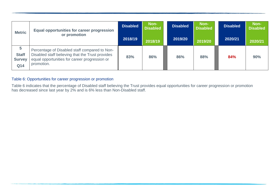| <b>Metric</b>                             | <b>Equal opportunities for career progression</b>                                                                                                                | <b>Disabled</b> | Non-<br><b>Disabled</b> | <b>Disabled</b> | Non-<br><b>Disabled</b> | <b>Disabled</b> | Non-<br><b>Disabled</b> |
|-------------------------------------------|------------------------------------------------------------------------------------------------------------------------------------------------------------------|-----------------|-------------------------|-----------------|-------------------------|-----------------|-------------------------|
|                                           | or promotion                                                                                                                                                     | 2018/19         | 2018/19                 | 2019/20         | 2019/20                 | 2020/21         | 2020/21                 |
| 5<br><b>Staff</b><br><b>Survey</b><br>Q14 | Percentage of Disabled staff compared to Non-<br>Disabled staff believing that the Trust provides<br>equal opportunities for career progression or<br>promotion. | 83%             | 86%                     | 86%             | 88%                     | 84%             | 90%                     |

#### Table 6: Opportunities for career progression or promotion

Table 6 indicates that the percentage of Disabled staff believing the Trust provides equal opportunities for career progression or promotion has decreased since last year by 2% and is 6% less than Non-Disabled staff.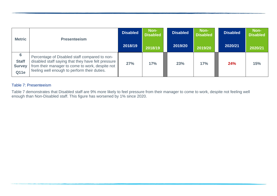| <b>Metric</b>                                     | <b>Presenteeism</b>                                                                                                                                                                                    | <b>Disabled</b><br>2018/19 | Non-<br><b>Disabled</b> | <b>Disabled</b><br>2019/20 | Non-<br><b>Disabled</b> | <b>Disabled</b><br>2020/21 | Non-<br><b>Disabled</b> |
|---------------------------------------------------|--------------------------------------------------------------------------------------------------------------------------------------------------------------------------------------------------------|----------------------------|-------------------------|----------------------------|-------------------------|----------------------------|-------------------------|
|                                                   |                                                                                                                                                                                                        |                            | 2018/19                 |                            | 2019/20                 |                            | 2020/21                 |
| 6<br><b>Staff</b><br><b>Survey</b><br><b>Q11e</b> | Percentage of Disabled staff compared to non-<br>disabled staff saying that they have felt pressure<br>from their manager to come to work, despite not<br>feeling well enough to perform their duties. | 27%                        | 17%                     | 23%                        | 17%                     | 24%                        | 15%                     |

#### Table 7: Presenteeism

Table 7 demonstrates that Disabled staff are 9% more likely to feel pressure from their manager to come to work, despite not feeling well enough than Non-Disabled staff. This figure has worsened by 1% since 2020.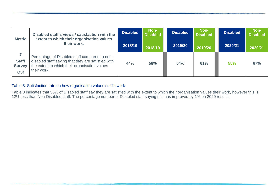| <b>Metric</b>                                    | Disabled staff's views / satisfaction with the<br>extent to which their organisation values<br>their work.                                                          | <b>Disabled</b> | Non-<br><b>Disabled</b> | <b>Disabled</b> | Non-<br><b>Disabled</b> | <b>Disabled</b> | Non-<br><b>Disabled</b> |
|--------------------------------------------------|---------------------------------------------------------------------------------------------------------------------------------------------------------------------|-----------------|-------------------------|-----------------|-------------------------|-----------------|-------------------------|
|                                                  |                                                                                                                                                                     | 2018/19         | 2018/19                 | 2019/20         | 2019/20                 | 2020/21         | 2020/21                 |
| <b>Staff</b><br><b>Survey</b><br>Q <sub>5f</sub> | Percentage of Disabled staff compared to non-<br>disabled staff saying that they are satisfied with<br>the extent to which their organisation values<br>their work. | 44%             | 58%                     | 54%             | 61%                     | 55%             | 67%                     |

#### Table 8: Satisfaction rate on how organisation values staff's work

Table 8 indicates that 55% of Disabled staff say they are satisfied with the extent to which their organisation values their work, however this is 12% less than Non-Disabled staff. The percentage number of Disabled staff saying this has improved by 1% on 2020 results.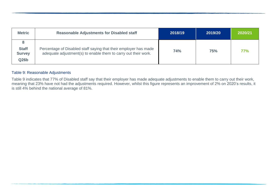| <b>Metric</b>                         | <b>Reasonable Adjustments for Disabled staff</b>                                                                                   | 2018/19    | 2019/20 | 2020/21    |
|---------------------------------------|------------------------------------------------------------------------------------------------------------------------------------|------------|---------|------------|
| <b>Staff</b><br><b>Survey</b><br>Q26b | Percentage of Disabled staff saying that their employer has made<br>adequate adjustment(s) to enable them to carry out their work. | <b>74%</b> | 75%     | <b>77%</b> |

#### Table 9: Reasonable Adjustments

Table 9 indicates that 77% of Disabled staff say that their employer has made adequate adjustments to enable them to carry out their work, meaning that 23% have not had the adjustments required. However, whilst this figure represents an improvement of 2% on 2020's results, it is still 4% behind the national average of 81%.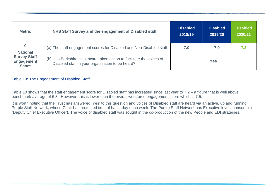| <b>Metric</b>                                            | NHS Staff Survey and the engagement of Disabled staff                                                                     | <b>Disabled</b><br>2018/19 | <b>Disabled</b><br>2019/20 | <b>Disabled</b><br>2020/21 |
|----------------------------------------------------------|---------------------------------------------------------------------------------------------------------------------------|----------------------------|----------------------------|----------------------------|
| 9<br><b>National</b>                                     | (a) The staff engagement scores for Disabled and Non-Disabled staff                                                       | 7.0                        | 7.0                        | 7.2                        |
| <b>Survey Staff</b><br><b>Engagement</b><br><b>Score</b> | (b) Has Berkshire Healthcare taken action to facilitate the voices of<br>Disabled staff in your organisation to be heard? |                            | Yes                        |                            |

#### Table 10: The Engagement of Disabled Staff

Table 10 shows that the staff engagement score for Disabled staff has increased since last year to 7.2 – a figure that is well above benchmark average of 6.8. However, this is lower than the overall workforce engagement score which is 7.5.

It is worth noting that the Trust has answered 'Yes' to this question and voices of Disabled staff are heard via an active, up and running Purple Staff Network, whose Chair has protected time of half a day each week. The Purple Staff Network has Executive level sponsorship (Deputy Chief Executive Officer). The voice of disabled staff was sought in the co-production of the new People and EDI strategies.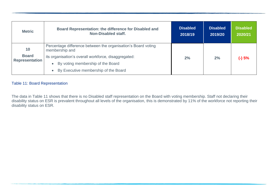| <b>Metric</b>                         | <b>Board Representation: the difference for Disabled and</b><br>Non-Disabled staff.                                                            | <b>Disabled</b><br>2018/19 | <b>Disabled</b><br>2019/20 | <b>Disabled</b><br>2020/21 |
|---------------------------------------|------------------------------------------------------------------------------------------------------------------------------------------------|----------------------------|----------------------------|----------------------------|
| 10                                    | Percentage difference between the organisation's Board voting<br>membership and                                                                |                            |                            |                            |
| <b>Board</b><br><b>Representation</b> | its organisation's overall workforce, disaggregated:<br>By voting membership of the Board<br>By Executive membership of the Board<br>$\bullet$ | 2%                         | 2%                         | $(-)5%$                    |

## Table 11: Board Representation

The data in Table 11 shows that there is no Disabled staff representation on the Board with voting membership. Staff not declaring their disability status on ESR is prevalent throughout all levels of the organisation, this is demonstrated by 11% of the workforce not reporting their disability status on ESR.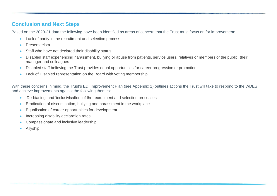# **Conclusion and Next Steps**

Based on the 2020-21 data the following have been identified as areas of concern that the Trust must focus on for improvement:

- Lack of parity in the recruitment and selection process
- Presenteeism
- Staff who have not declared their disability status
- Disabled staff experiencing harassment, bullying or abuse from patients, service users, relatives or members of the public, their manager and colleagues
- Disabled staff believing the Trust provides equal opportunities for career progression or promotion
- Lack of Disabled representation on the Board with voting membership

With these concerns in mind, the Trust's EDI Improvement Plan (see Appendix 1) outlines actions the Trust will take to respond to the WDES and achieve improvements against the following themes:

- 'De-biasing' and 'inclusivisation' of the recruitment and selection processes
- Eradication of discrimination, bullying and harassment in the workplace
- Equalisation of career opportunities for development
- Increasing disability declaration rates
- Compassionate and inclusive leadership
- Allyship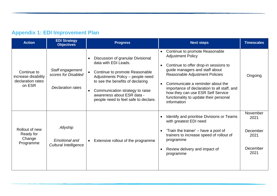# **Appendix 1: EDI Improvement Plan**

| <b>Action</b>                                                     | <b>EDI Strategy</b><br><b>Objectives</b>                            | <b>Progress</b>                                                                                                                                                                                                                                                                           | <b>Next steps</b>                                                                                                                                                                                                                                                                                                                                                                  | <b>Timescales</b>                                        |
|-------------------------------------------------------------------|---------------------------------------------------------------------|-------------------------------------------------------------------------------------------------------------------------------------------------------------------------------------------------------------------------------------------------------------------------------------------|------------------------------------------------------------------------------------------------------------------------------------------------------------------------------------------------------------------------------------------------------------------------------------------------------------------------------------------------------------------------------------|----------------------------------------------------------|
| Continue to<br>increase disability<br>declaration rates<br>on ESR | Staff engagement<br>scores for Disabled<br><b>Declaration rates</b> | Discussion of granular Divisional<br>data with EDI Leads.<br>Continue to promote Reasonable<br>Adjustments Policy - people need<br>to see the benefits of declaring<br>Communication strategy to raise<br>$\bullet$<br>awareness about ESR data -<br>people need to feel safe to declare. | Continue to promote Reasonable<br>$\bullet$<br><b>Adjustment Policy</b><br>Continue to offer drop-in sessions to<br>guide managers and staff about<br>Reasonable Adjustment Policies<br>Communicate a reminder about the<br>$\bullet$<br>importance of declaration to all staff, and<br>how they can use ESR Self Service<br>functionality to update their personal<br>information | Ongoing                                                  |
| Rollout of new<br>Ready for<br>Change<br>Programme                | Allyship<br><b>Emotional and</b><br><b>Cultural Intelligence</b>    | Extensive rollout of the programme<br>$\bullet$                                                                                                                                                                                                                                           | Identify and prioritise Divisions or Teams<br>$\bullet$<br>with greatest EDI need<br>'Train the trainer' – have a pool of<br>trainers to increase speed of rollout of<br>programme<br>Review delivery and impact of<br>$\bullet$<br>programme                                                                                                                                      | November<br>2021<br>December<br>2021<br>December<br>2021 |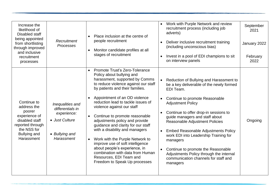| Increase the<br>likelihood of<br>Disabled staff<br>being appointed<br>from shortlisting<br>through improved<br>and inclusive<br>recruitment<br>processes | Recruitment<br>Processes                                                                              | Place inclusion at the centre of<br>people recruitment<br>Monitor candidate profiles at all<br>stages of recruitment                                                                                                                                                                                                                                                                                                                                                                                                                                                                                                                                                                  | $\bullet$                           | Work with Purple Network and review<br>recruitment process (including job<br>adverts)<br>Deliver inclusive recruitment training<br>(including unconscious bias)<br>Invest in a pool of EDI champions to sit<br>on interview panels                                                                                                                                                                                                                                                                                  | September<br>2021<br>January 2022<br>February<br>2022 |
|----------------------------------------------------------------------------------------------------------------------------------------------------------|-------------------------------------------------------------------------------------------------------|---------------------------------------------------------------------------------------------------------------------------------------------------------------------------------------------------------------------------------------------------------------------------------------------------------------------------------------------------------------------------------------------------------------------------------------------------------------------------------------------------------------------------------------------------------------------------------------------------------------------------------------------------------------------------------------|-------------------------------------|---------------------------------------------------------------------------------------------------------------------------------------------------------------------------------------------------------------------------------------------------------------------------------------------------------------------------------------------------------------------------------------------------------------------------------------------------------------------------------------------------------------------|-------------------------------------------------------|
| Continue to<br>address the<br>poorer<br>experience of<br>disabled staff<br>reported through<br>the NSS for<br>Bullying and<br>Harassment                 | Inequalities and<br>differentials in<br>experience:<br>• Just Culture<br>• Bullying and<br>Harassment | Promote Trust's Zero-Tolerance<br>$\bullet$<br>Policy about bullying and<br>harassment, supported by Comms<br>to reduce violence against our staff<br>by patients and their families.<br>Appointment of an OD violence<br>$\bullet$<br>reduction lead to tackle issues of<br>violence against our staff<br>Continue to promote reasonable<br>$\bullet$<br>adjustments policy and provide<br>guidance and clarity for our staff<br>with a disability and managers<br>Work with the Purple Network to<br>$\bullet$<br>improve use of soft intelligence<br>about people's experience, in<br>combination with data from Human<br>Resources, EDI Team and<br>Freedom to Speak Up processes | $\bullet$<br>$\bullet$<br>$\bullet$ | Reduction of Bullying and Harassment to<br>be a key deliverable of the newly formed<br>EDI Team.<br>Continue to promote Reasonable<br><b>Adjustment Policy</b><br>Continue to offer drop-in sessions to<br>guide managers and staff about<br>Reasonable Adjustment Policies<br><b>Embed Reasonable Adjustments Policy</b><br>work EDI into Leadership Training for<br>managers<br>Continue to promote the Reasonable<br>Adjustments Policy through the internal<br>communication channels for staff and<br>managers | Ongoing                                               |